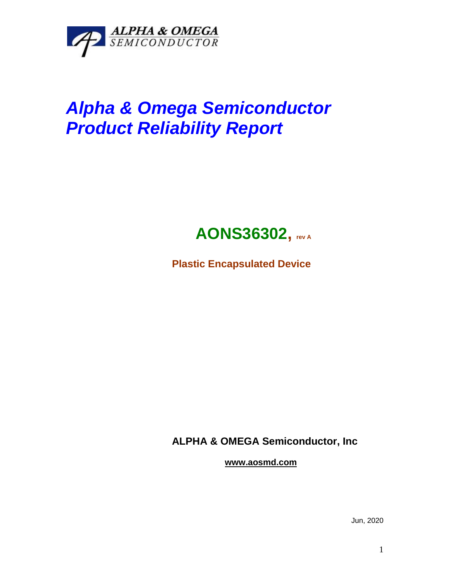

## *Alpha & Omega Semiconductor Product Reliability Report*



**Plastic Encapsulated Device**

**ALPHA & OMEGA Semiconductor, Inc**

**www.aosmd.com**

Jun, 2020